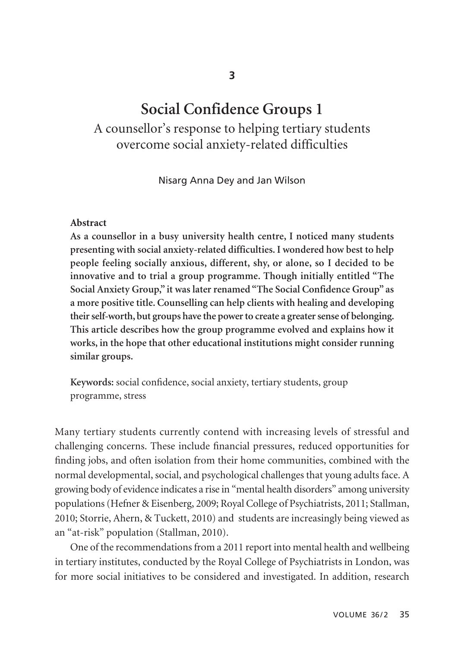# **Social Confidence Groups 1**

A counsellor's response to helping tertiary students overcome social anxiety-related difficulties

Nisarg Anna Dey and Jan Wilson

#### **Abstract**

**As a counsellor in a busy university health centre, I noticed many students presenting with social anxiety-related difficulties. I wondered how best to help people feeling socially anxious, different, shy, or alone, so I decided to be innovative and to trial a group programme. Though initially entitled "The Social Anxiety Group," it was later renamed "The Social Confidence Group" as a more positive title. Counselling can help clients with healing and developing their self-worth, but groups have the power to create a greater sense of belonging. This article describes how the group programme evolved and explains how it works, in the hope that other educational institutions might consider running similar groups.** 

**Keywords:** social confidence, social anxiety, tertiary students, group programme, stress

Many tertiary students currently contend with increasing levels of stressful and challenging concerns. These include financial pressures, reduced opportunities for finding jobs, and often isolation from their home communities, combined with the normal developmental, social, and psychological challenges that young adults face. A growing body of evidence indicates a rise in "mental health disorders" among university populations (Hefner & Eisenberg, 2009; Royal College of Psychiatrists, 2011; Stallman, 2010; Storrie, Ahern, & Tuckett, 2010) and students are increasingly being viewed as an "at-risk" population (Stallman, 2010).

One of the recommendations from a 2011 report into mental health and wellbeing in tertiary institutes, conducted by the Royal College of Psychiatrists in London, was for more social initiatives to be considered and investigated. In addition, research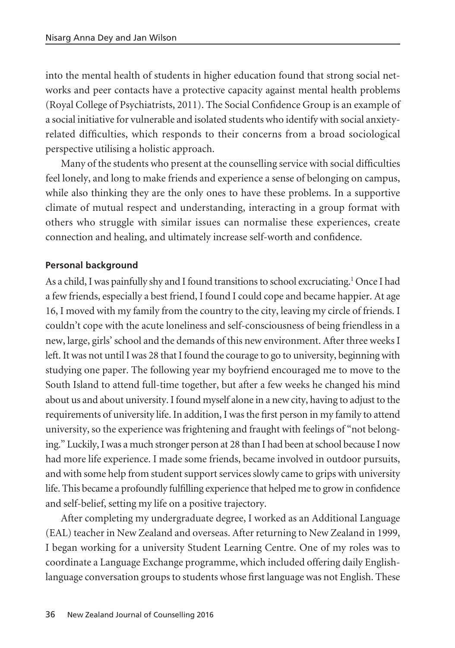into the mental health of students in higher education found that strong social net works and peer contacts have a protective capacity against mental health problems (Royal College of Psychiatrists, 2011). The Social Confidence Group is an example of a social initiative for vulnerable and isolated students who identify with social anxietyrelated difficulties, which responds to their concerns from a broad sociological perspective utilising a holistic approach.

Many of the students who present at the counselling service with social difficulties feel lonely, and long to make friends and experience a sense of belonging on campus, while also thinking they are the only ones to have these problems. In a supportive climate of mutual respect and understanding, interacting in a group format with others who struggle with similar issues can normalise these experiences, create connection and healing, and ultimately increase self-worth and confidence.

## **Personal background**

As a child, I was painfully shy and I found transitions to school excruciating.1 Once I had a few friends, especially a best friend, I found I could cope and became happier. At age 16, I moved with my family from the country to the city, leaving my circle of friends. I couldn't cope with the acute loneliness and self-consciousness of being friendless in a new, large, girls' school and the demands of this new environment. After three weeks I left. It was not until I was 28 that I found the courage to go to university, beginning with studying one paper. The following year my boyfriend encouraged me to move to the South Island to attend full-time together, but after a few weeks he changed his mind about us and about university. I found myself alone in a new city, having to adjust to the requirements of university life. In addition, I was the first person in my family to attend university, so the experience was frightening and fraught with feelings of "not belonging." Luckily, I was a much stronger person at 28 than I had been at school because I now had more life experience. I made some friends, became involved in outdoor pursuits, and with some help from student support services slowly came to grips with university life. This became a profoundly fulfilling experience that helped me to grow in confidence and self-belief, setting my life on a positive trajectory.

After completing my undergraduate degree, I worked as an Additional Language (EAL) teacher in New Zealand and overseas. After returning to New Zealand in 1999, I began working for a university Student Learning Centre. One of my roles was to coordinate a Language Exchange programme, which included offering daily Englishlanguage conversation groups to students whose first language was not English. These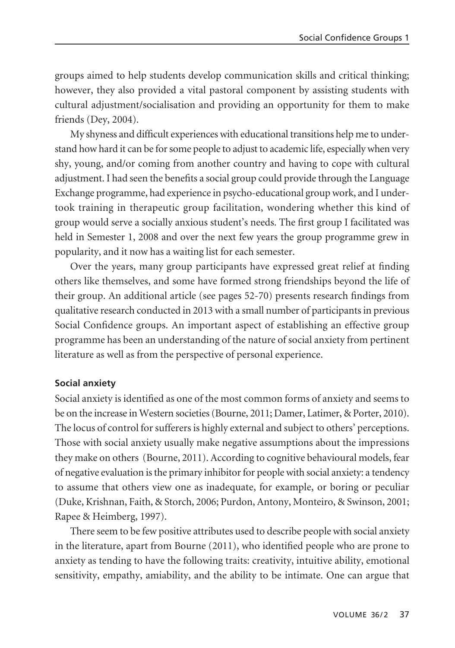groups aimed to help students develop communication skills and critical thinking; however, they also provided a vital pastoral component by assisting students with cultural adjustment/socialisation and providing an opportunity for them to make friends (Dey, 2004).

My shyness and difficult experiences with educational transitions help me to under stand how hard it can be for some people to adjust to academic life, especially when very shy, young, and/or coming from another country and having to cope with cultural adjustment. I had seen the benefits a social group could provide through the Language Exchange programme, had experience in psycho-educational group work, and I undertook training in therapeutic group facilitation, wondering whether this kind of group would serve a socially anxious student's needs. The first group I facilitated was held in Semester 1, 2008 and over the next few years the group programme grew in popularity, and it now has a waiting list for each semester.

Over the years, many group participants have expressed great relief at finding others like themselves, and some have formed strong friendships beyond the life of their group. An additional article (see pages 52-70) presents research findings from qualitative research conducted in 2013 with a small number of participants in previous Social Confidence groups. An important aspect of establishing an effective group programme has been an understanding of the nature of social anxiety from pertinent literature as well as from the perspective of personal experience.

## **Social anxiety**

Social anxiety is identified as one of the most common forms of anxiety and seems to be on the increase in Western societies (Bourne, 2011; Damer, Latimer, & Porter, 2010). The locus of control for sufferers is highly external and subject to others' perceptions. Those with social anxiety usually make negative assumptions about the impressions they make on others (Bourne, 2011). According to cognitive behavioural models, fear of negative evaluation is the primary inhibitor for people with social anxiety: a tendency to assume that others view one as inadequate, for example, or boring or peculiar (Duke, Krishnan, Faith, & Storch, 2006; Purdon, Antony, Monteiro, & Swinson, 2001; Rapee & Heimberg, 1997).

There seem to be few positive attributes used to describe people with social anxiety in the literature, apart from Bourne (2011), who identified people who are prone to anxiety as tending to have the following traits: creativity, intuitive ability, emotional sensitivity, empathy, amiability, and the ability to be intimate. One can argue that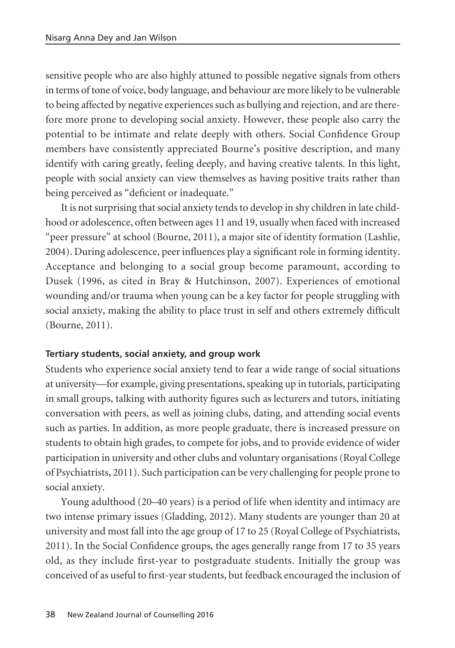sensitive people who are also highly attuned to possible negative signals from others in terms of tone of voice, body language, and behaviour are more likely to be vulnerable to being affected by negative experiences such as bullying and rejection, and are there fore more prone to developing social anxiety. However, these people also carry the potential to be intimate and relate deeply with others. Social Confidence Group members have consistently appreciated Bourne's positive description, and many identify with caring greatly, feeling deeply, and having creative talents. In this light, people with social anxiety can view themselves as having positive traits rather than being perceived as "deficient or inadequate."

It is not surprising that social anxiety tends to develop in shy children in late child hood or adolescence, often between ages 11 and 19, usually when faced with increased "peer pressure" at school (Bourne, 2011), a major site of identity formation (Lashlie, 2004). During adolescence, peer influences play a significant role in forming identity. Acceptance and belonging to a social group become paramount, according to Dusek (1996, as cited in Bray & Hutchinson, 2007). Experiences of emotional wounding and/or trauma when young can be a key factor for people struggling with social anxiety, making the ability to place trust in self and others extremely difficult (Bourne, 2011).

# **Tertiary students, social anxiety, and group work**

Students who experience social anxiety tend to fear a wide range of social situations at university—for example, giving presentations, speaking up in tutorials, participating in small groups, talking with authority figures such as lecturers and tutors, initiating conversation with peers, as well as joining clubs, dating, and attending social events such as parties. In addition, as more people graduate, there is increased pressure on students to obtain high grades, to compete for jobs, and to provide evidence of wider participation in university and other clubs and voluntary organisations (Royal College of Psychiatrists, 2011). Such participation can be very challenging for people prone to social anxiety.

Young adulthood (20–40 years) is a period of life when identity and intimacy are two intense primary issues (Gladding, 2012). Many students are younger than 20 at university and most fall into the age group of 17 to 25 (Royal College of Psychiatrists, 2011). In the Social Confidence groups, the ages generally range from 17 to 35 years old, as they include first-year to postgraduate students. Initially the group was conceived of as useful to first-year students, but feedback encouraged the inclusion of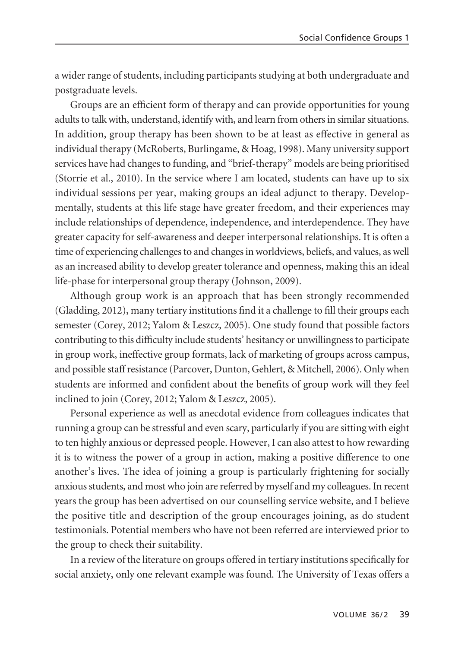a wider range of students, including participants studying at both undergraduate and postgraduate levels.

Groups are an efficient form of therapy and can provide opportunities for young adults to talk with, understand, identify with, and learn from others in similar situations. In addition, group therapy has been shown to be at least as effective in general as individual therapy (McRoberts, Burlingame, & Hoag, 1998). Many university support services have had changes to funding, and "brief-therapy" models are being prioritised (Storrie et al., 2010). In the service where I am located, students can have up to six individual sessions per year, making groups an ideal adjunct to therapy. Develop mentally, students at this life stage have greater freedom, and their experiences may include relationships of dependence, independence, and interdependence. They have greater capacity for self-awareness and deeper interpersonal relationships. It is often a time of experiencing challenges to and changes in worldviews, beliefs, and values, as well as an increased ability to develop greater tolerance and openness, making this an ideal life-phase for interpersonal group therapy (Johnson, 2009).

Although group work is an approach that has been strongly recommended (Gladding, 2012), many tertiary institutions find it a challenge to fill their groups each semester (Corey, 2012; Yalom & Leszcz, 2005). One study found that possible factors contributing to this difficulty include students' hesitancy or unwillingness to participate in group work, ineffective group formats, lack of marketing of groups across campus, and possible staff resistance (Parcover, Dunton, Gehlert, & Mitchell, 2006). Only when students are informed and confident about the benefits of group work will they feel inclined to join (Corey, 2012; Yalom & Leszcz, 2005).

Personal experience as well as anecdotal evidence from colleagues indicates that running a group can be stressful and even scary, particularly if you are sitting with eight to ten highly anxious or depressed people. However, I can also attest to how rewarding it is to witness the power of a group in action, making a positive difference to one another's lives. The idea of joining a group is particularly frightening for socially anxious students, and most who join are referred by myself and my colleagues. In recent years the group has been advertised on our counselling service website, and I believe the positive title and description of the group encourages joining, as do student testimonials. Potential members who have not been referred are interviewed prior to the group to check their suitability.

In a review of the literature on groups offered in tertiary institutions specifically for social anxiety, only one relevant example was found. The University of Texas offers a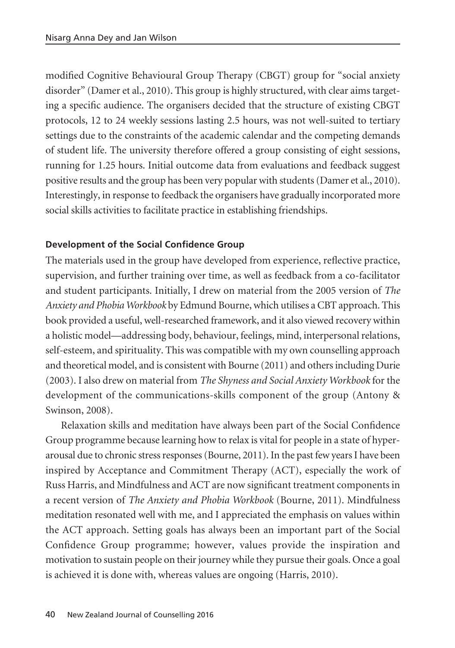modified Cognitive Behavioural Group Therapy (CBGT) group for "social anxiety disorder" (Damer et al., 2010). This group is highly structured, with clear aims targeting a specific audience. The organisers decided that the structure of existing CBGT protocols, 12 to 24 weekly sessions lasting 2.5 hours, was not well-suited to tertiary settings due to the constraints of the academic calendar and the competing demands of student life. The university therefore offered a group consisting of eight sessions, running for 1.25 hours. Initial outcome data from evaluations and feedback suggest positive results and the group has been very popular with students (Damer et al., 2010). Interestingly, in response to feedback the organisers have gradually incorporated more social skills activities to facilitate practice in establishing friendships.

# **Development of the Social Confidence Group**

The materials used in the group have developed from experience, reflective practice, supervision, and further training over time, as well as feedback from a co-facilitator and student participants. Initially, I drew on material from the 2005 version of *The Anxiety and Phobia Workbook* by Edmund Bourne, which utilises a CBT approach. This book provided a useful, well-researched framework, and it also viewed recovery within a holistic model—addressing body, behaviour, feelings, mind, interpersonal relations, self-esteem, and spirituality. This was compatible with my own counselling approach and theoretical model, and is consistent with Bourne (2011) and others including Durie (2003). I also drew on material from *The Shyness and Social Anxiety Workbook* for the development of the communications-skills component of the group (Antony & Swinson, 2008).

Relaxation skills and meditation have always been part of the Social Confidence Group programme because learning how to relax is vital for people in a state of hyper arousal due to chronic stress responses (Bourne, 2011). In the past few years I have been inspired by Acceptance and Commitment Therapy (ACT), especially the work of Russ Harris, and Mindfulness and ACT are now significant treatment components in a recent version of *The Anxiety and Phobia Workbook* (Bourne, 2011). Mindfulness meditation resonated well with me, and I appreciated the emphasis on values within the ACT approach. Setting goals has always been an important part of the Social Confidence Group programme; however, values provide the inspiration and motivation to sustain people on their journey while they pursue their goals. Once a goal is achieved it is done with, whereas values are ongoing (Harris, 2010).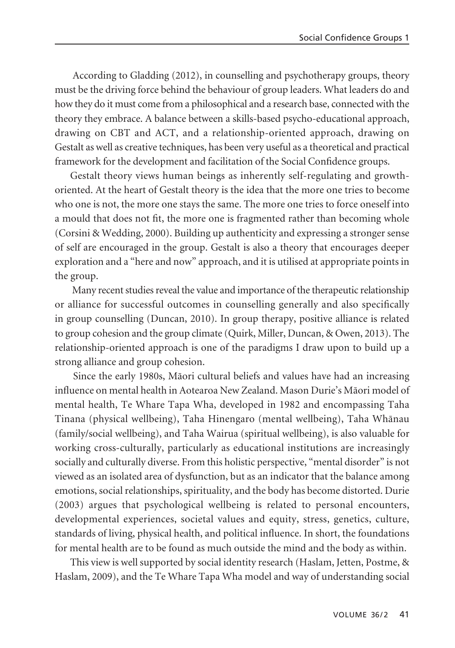According to Gladding (2012), in counselling and psychotherapy groups, theory must be the driving force behind the behaviour of group leaders. What leaders do and how they do it must come from a philosophical and a research base, connected with the theory they embrace. A balance between a skills-based psycho-educational approach, drawing on CBT and ACT, and a relationship-oriented approach, drawing on Gestalt as well as creative techniques, has been very useful as a theoretical and practical framework for the development and facilitation of the Social Confidence groups.

Gestalt theory views human beings as inherently self-regulating and growthoriented. At the heart of Gestalt theory is the idea that the more one tries to become who one is not, the more one stays the same. The more one tries to force oneself into a mould that does not fit, the more one is fragmented rather than becoming whole (Corsini & Wedding, 2000). Building up authenticity and expressing a stronger sense of self are encouraged in the group. Gestalt is also a theory that encourages deeper exploration and a "here and now" approach, and it is utilised at appropriate points in the group.

Many recent studies reveal the value and importance of the therapeutic relationship or alliance for successful outcomes in counselling generally and also specifically in group counselling (Duncan, 2010). In group therapy, positive alliance is related to group cohesion and the group climate (Quirk, Miller, Duncan, & Owen, 2013). The relationship-oriented approach is one of the paradigms I draw upon to build up a strong alliance and group cohesion.

Since the early 1980s, Mäori cultural beliefs and values have had an increasing influence on mental health in Aotearoa New Zealand. Mason Durie's Mäori model of mental health, Te Whare Tapa Wha, developed in 1982 and encompassing Taha Tinana (physical wellbeing), Taha Hinengaro (mental wellbeing), Taha Whänau (family/social wellbeing), and Taha Wairua (spiritual wellbeing), is also valuable for working cross-culturally, particularly as educational institutions are increasingly socially and culturally diverse. From this holistic perspective, "mental disorder" is not viewed as an isolated area of dysfunction, but as an indicator that the balance among emotions, social relationships, spirituality, and the body has become distorted. Durie (2003) argues that psychological wellbeing is related to personal encounters, developmental experiences, societal values and equity, stress, genetics, culture, standards of living, physical health, and political influence. In short, the foundations for mental health are to be found as much outside the mind and the body as within.

This view is well supported by social identity research (Haslam, Jetten, Postme, & Haslam, 2009), and the Te Whare Tapa Wha model and way of understanding social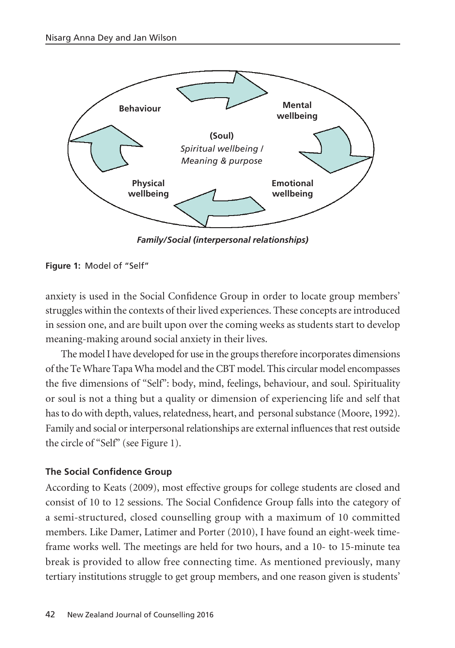

*Family/Social (interpersonal relationships)*

**Figure 1:** Model of "Self"

anxiety is used in the Social Confidence Group in order to locate group members' struggles within the contexts of their lived experiences. These concepts are introduced in session one, and are built upon over the coming weeks as students start to develop meaning-making around social anxiety in their lives.

The model I have developed for use in the groups therefore incorporates dimensions of the Te Whare Tapa Wha model and the CBT model. This circular model encompasses the five dimensions of "Self": body, mind, feelings, behaviour, and soul. Spirituality or soul is not a thing but a quality or dimension of experiencing life and self that has to do with depth, values, relatedness, heart, and personal substance (Moore, 1992). Family and social or interpersonal relationships are external influences that rest outside the circle of "Self" (see Figure 1).

# **The Social Confidence Group**

According to Keats (2009), most effective groups for college students are closed and consist of 10 to 12 sessions. The Social Confidence Group falls into the category of a semi-structured, closed counselling group with a maximum of 10 committed members. Like Damer, Latimer and Porter (2010), I have found an eight-week timeframe works well. The meetings are held for two hours, and a 10- to 15-minute tea break is provided to allow free connecting time. As mentioned previously, many tertiary institutions struggle to get group members, and one reason given is students'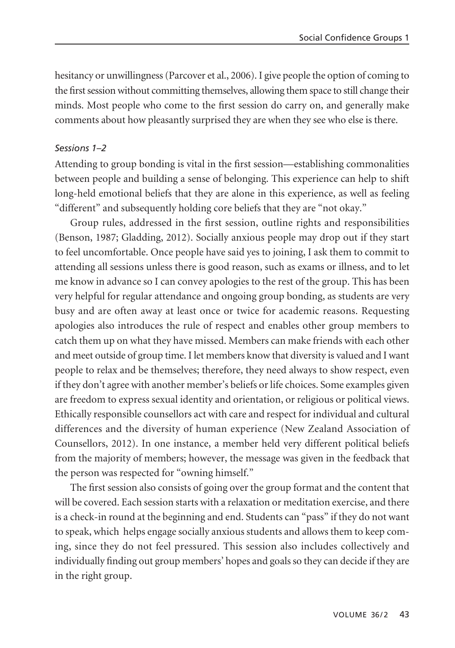hesitancy or unwillingness (Parcover et al., 2006). I give people the option of coming to the first session without committing themselves, allowing them space to still change their minds. Most people who come to the first session do carry on, and generally make comments about how pleasantly surprised they are when they see who else is there.

#### *Sessions 1–2*

Attending to group bonding is vital in the first session—establishing commonalities between people and building a sense of belonging. This experience can help to shift long-held emotional beliefs that they are alone in this experience, as well as feeling "different" and subsequently holding core beliefs that they are "not okay."

Group rules, addressed in the first session, outline rights and responsibilities (Benson, 1987; Gladding, 2012). Socially anxious people may drop out if they start to feel uncomfortable. Once people have said yes to joining, I ask them to commit to attending all sessions unless there is good reason, such as exams or illness, and to let me know in advance so I can convey apologies to the rest of the group. This has been very helpful for regular attendance and ongoing group bonding, as students are very busy and are often away at least once or twice for academic reasons. Requesting apologies also introduces the rule of respect and enables other group members to catch them up on what they have missed. Members can make friends with each other and meet outside of group time. I let members know that diversity is valued and I want people to relax and be themselves; therefore, they need always to show respect, even if they don't agree with another member's beliefs or life choices. Some examples given are freedom to express sexual identity and orientation, or religious or political views. Ethically responsible counsellors act with care and respect for individual and cultural differences and the diversity of human experience (New Zealand Association of Counsellors, 2012). In one instance, a member held very different political beliefs from the majority of members; however, the message was given in the feedback that the person was respected for "owning himself."

The first session also consists of going over the group format and the content that will be covered. Each session starts with a relaxation or meditation exercise, and there is a check-in round at the beginning and end. Students can "pass" if they do not want to speak, which helps engage socially anxious students and allows them to keep com ing, since they do not feel pressured. This session also includes collectively and individually finding out group members' hopes and goals so they can decide if they are in the right group.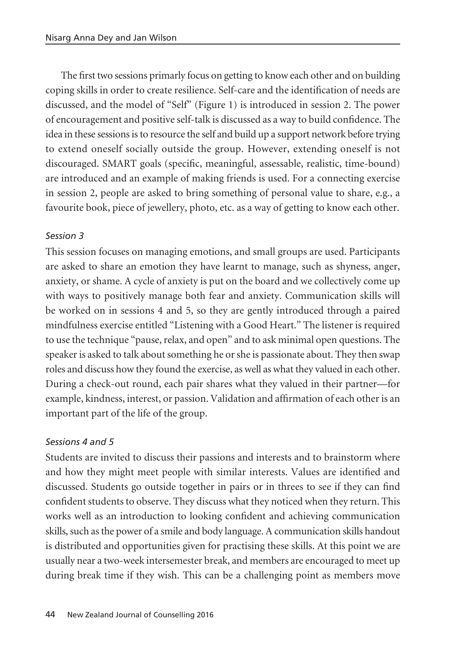The first two sessions primarly focus on getting to know each other and on building coping skills in order to create resilience. Self-care and the identification of needs are discussed, and the model of "Self" (Figure 1) is introduced in session 2. The power of encouragement and positive self-talk is discussed as a way to build confidence. The idea in these sessions is to resource the self and build up a support network before trying to extend oneself socially outside the group. However, extending oneself is not discouraged. SMART goals (specific, meaningful, assessable, realistic, time-bound) are introduced and an example of making friends is used. For a connecting exercise in session 2, people are asked to bring something of personal value to share, e.g., a favourite book, piece of jewellery, photo, etc. as a way of getting to know each other.

## *Session 3*

This session focuses on managing emotions, and small groups are used. Participants are asked to share an emotion they have learnt to manage, such as shyness, anger, anxiety, or shame. A cycle of anxiety is put on the board and we collectively come up with ways to positively manage both fear and anxiety. Communication skills will be worked on in sessions 4 and 5, so they are gently introduced through a paired mindfulness exercise entitled "Listening with a Good Heart." The listener is required to use the technique "pause, relax, and open" and to ask minimal open questions. The speaker is asked to talk about something he or she is passionate about. They then swap roles and discuss how they found the exercise, as well as what they valued in each other. During a check-out round, each pair shares what they valued in their partner—for example, kindness, interest, or passion. Validation and affirmation of each other is an important part of the life of the group.

## *Sessions 4 and 5*

Students are invited to discuss their passions and interests and to brainstorm where and how they might meet people with similar interests. Values are identified and discussed. Students go outside together in pairs or in threes to see if they can find confident students to observe. They discuss what they noticed when they return. This works well as an introduction to looking confident and achieving communication skills, such as the power of a smile and body language. A communication skills handout is distributed and opportunities given for practising these skills. At this point we are usually near a two-week intersemester break, and members are encouraged to meet up during break time if they wish. This can be a challenging point as members move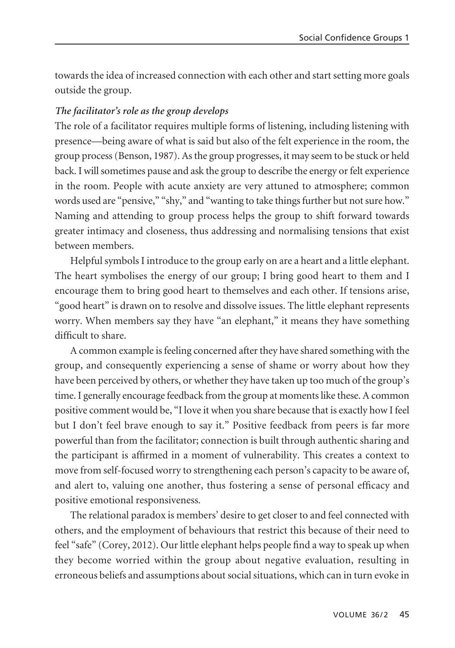towards the idea of increased connection with each other and start setting more goals outside the group.

## *The facilitator's role as the group develops*

The role of a facilitator requires multiple forms of listening, including listening with presence—being aware of what is said but also of the felt experience in the room, the group process (Benson, 1987). As the group progresses, it may seem to be stuck or held back. I will sometimes pause and ask the group to describe the energy or felt experience in the room. People with acute anxiety are very attuned to atmosphere; common words used are "pensive," "shy," and "wanting to take things further but not sure how." Naming and attending to group process helps the group to shift forward towards greater intimacy and closeness, thus addressing and normalising tensions that exist between members.

Helpful symbols I introduce to the group early on are a heart and a little elephant. The heart symbolises the energy of our group; I bring good heart to them and I encourage them to bring good heart to themselves and each other. If tensions arise, "good heart" is drawn on to resolve and dissolve issues. The little elephant represents worry. When members say they have "an elephant," it means they have something difficult to share.

A common example is feeling concerned after they have shared something with the group, and consequently experiencing a sense of shame or worry about how they have been perceived by others, or whether they have taken up too much of the group's time. I generally encourage feedback from the group at moments like these. A common positive comment would be, "I love it when you share because that is exactly how I feel but I don't feel brave enough to say it." Positive feedback from peers is far more powerful than from the facilitator; connection is built through authentic sharing and the participant is affirmed in a moment of vulnerability. This creates a context to move from self-focused worry to strengthening each person's capacity to be aware of, and alert to, valuing one another, thus fostering a sense of personal efficacy and positive emotional responsiveness.

The relational paradox is members' desire to get closer to and feel connected with others, and the employment of behaviours that restrict this because of their need to feel "safe" (Corey, 2012). Our little elephant helps people find a way to speak up when they become worried within the group about negative evaluation, resulting in erroneous beliefs and assumptions about social situations, which can in turn evoke in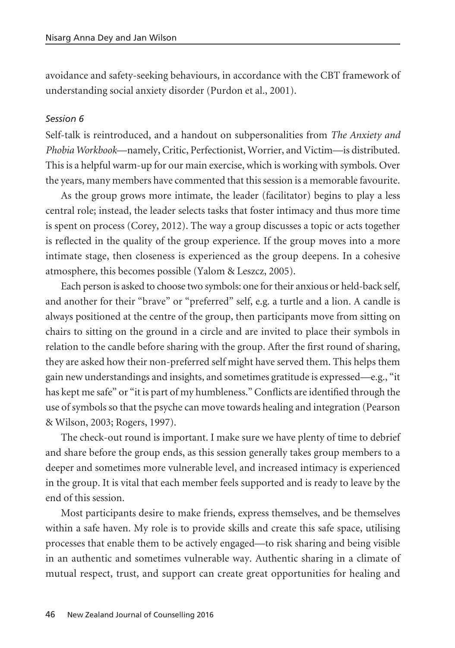avoidance and safety-seeking behaviours, in accordance with the CBT framework of understanding social anxiety disorder (Purdon et al., 2001).

#### *Session 6*

Self-talk is reintroduced, and a handout on subpersonalities from *The Anxiety and Phobia Workbook*—namely, Critic, Perfectionist, Worrier, and Victim—is distributed. This is a helpful warm-up for our main exercise, which is working with symbols. Over the years, many members have commented that this session is a memorable favourite.

As the group grows more intimate, the leader (facilitator) begins to play a less central role; instead, the leader selects tasks that foster intimacy and thus more time is spent on process (Corey, 2012). The way a group discusses a topic or acts together is reflected in the quality of the group experience. If the group moves into a more intimate stage, then closeness is experienced as the group deepens. In a cohesive atmosphere, this becomes possible (Yalom & Leszcz, 2005).

Each person is asked to choose two symbols: one for their anxious or held-back self, and another for their "brave" or "preferred" self, e.g. a turtle and a lion. A candle is always positioned at the centre of the group, then participants move from sitting on chairs to sitting on the ground in a circle and are invited to place their symbols in relation to the candle before sharing with the group. After the first round of sharing, they are asked how their non-preferred self might have served them. This helps them gain new understandings and insights, and sometimes gratitude is expressed—e.g., "it has kept me safe" or "it is part of my humbleness." Conflicts are identified through the use of symbols so that the psyche can move towards healing and integration (Pearson & Wilson, 2003; Rogers, 1997).

The check-out round is important. I make sure we have plenty of time to debrief and share before the group ends, as this session generally takes group members to a deeper and sometimes more vulnerable level, and increased intimacy is experienced in the group. It is vital that each member feels supported and is ready to leave by the end of this session.

Most participants desire to make friends, express themselves, and be themselves within a safe haven. My role is to provide skills and create this safe space, utilising processes that enable them to be actively engaged—to risk sharing and being visible in an authentic and sometimes vulnerable way. Authentic sharing in a climate of mutual respect, trust, and support can create great opportunities for healing and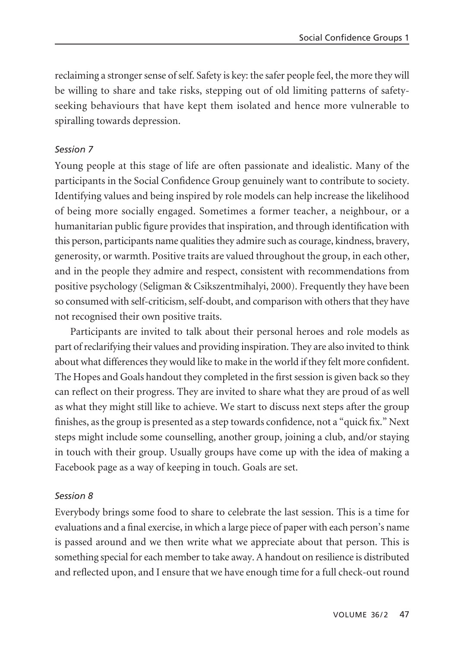reclaiming a stronger sense of self. Safety is key: the safer people feel, the more they will be willing to share and take risks, stepping out of old limiting patterns of safetyseeking behaviours that have kept them isolated and hence more vulnerable to spiralling towards depression.

## *Session 7*

Young people at this stage of life are often passionate and idealistic. Many of the participants in the Social Confidence Group genuinely want to contribute to society. Identifying values and being inspired by role models can help increase the likelihood of being more socially engaged. Sometimes a former teacher, a neighbour, or a humanitarian public figure provides that inspiration, and through identification with this person, participants name qualities they admire such as courage, kindness, bravery, generosity, or warmth. Positive traits are valued throughout the group, in each other, and in the people they admire and respect, consistent with recommendations from positive psychology (Seligman & Csikszentmihalyi, 2000). Frequently they have been so consumed with self-criticism, self-doubt, and comparison with others that they have not recognised their own positive traits.

Participants are invited to talk about their personal heroes and role models as part of reclarifying their values and providing inspiration. They are also invited to think about what differences they would like to make in the world if they felt more confident. The Hopes and Goals handout they completed in the first session is given back so they can reflect on their progress. They are invited to share what they are proud of as well as what they might still like to achieve. We start to discuss next steps after the group finishes, as the group is presented as a step towards confidence, not a "quick fix." Next steps might include some counselling, another group, joining a club, and/or staying in touch with their group. Usually groups have come up with the idea of making a Facebook page as a way of keeping in touch. Goals are set.

## *Session 8*

Everybody brings some food to share to celebrate the last session. This is a time for evaluations and a final exercise, in which a large piece of paper with each person's name is passed around and we then write what we appreciate about that person. This is something special for each member to take away. A handout on resilience is distributed and reflected upon, and I ensure that we have enough time for a full check-out round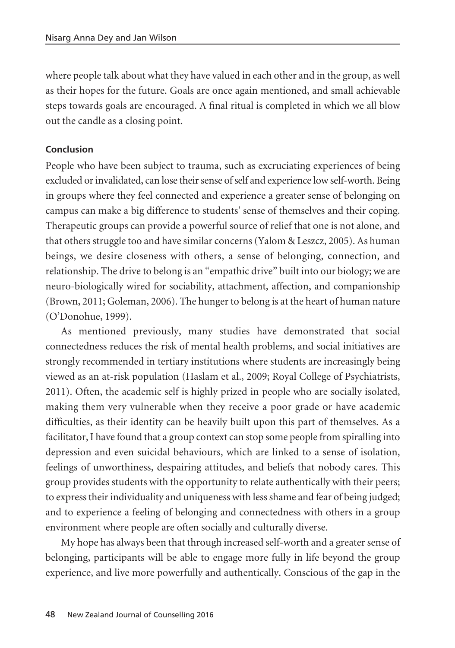where people talk about what they have valued in each other and in the group, as well as their hopes for the future. Goals are once again mentioned, and small achievable steps towards goals are encouraged. A final ritual is completed in which we all blow out the candle as a closing point.

## **Conclusion**

People who have been subject to trauma, such as excruciating experiences of being excluded or invalidated, can lose their sense of self and experience low self-worth. Being in groups where they feel connected and experience a greater sense of belonging on campus can make a big difference to students' sense of themselves and their coping. Therapeutic groups can provide a powerful source of relief that one is not alone, and that others struggle too and have similar concerns (Yalom & Leszcz, 2005). As human beings, we desire closeness with others, a sense of belonging, connection, and relationship. The drive to belong is an "empathic drive" built into our biology; we are neuro-biologically wired for sociability, attachment, affection, and companionship (Brown, 2011; Goleman, 2006). The hunger to belong is at the heart of human nature (O'Donohue, 1999).

As mentioned previously, many studies have demonstrated that social connectedness reduces the risk of mental health problems, and social initiatives are strongly recommended in tertiary institutions where students are increasingly being viewed as an at-risk population (Haslam et al., 2009; Royal College of Psychiatrists, 2011). Often, the academic self is highly prized in people who are socially isolated, making them very vulnerable when they receive a poor grade or have academic difficulties, as their identity can be heavily built upon this part of themselves. As a facilitator, I have found that a group context can stop some people from spiralling into depression and even suicidal behaviours, which are linked to a sense of isolation, feelings of unworthiness, despairing attitudes, and beliefs that nobody cares. This group provides students with the opportunity to relate authentically with their peers; to express their individuality and uniqueness with less shame and fear of being judged; and to experience a feeling of belonging and connectedness with others in a group environment where people are often socially and culturally diverse.

My hope has always been that through increased self-worth and a greater sense of belonging, participants will be able to engage more fully in life beyond the group experience, and live more powerfully and authentically. Conscious of the gap in the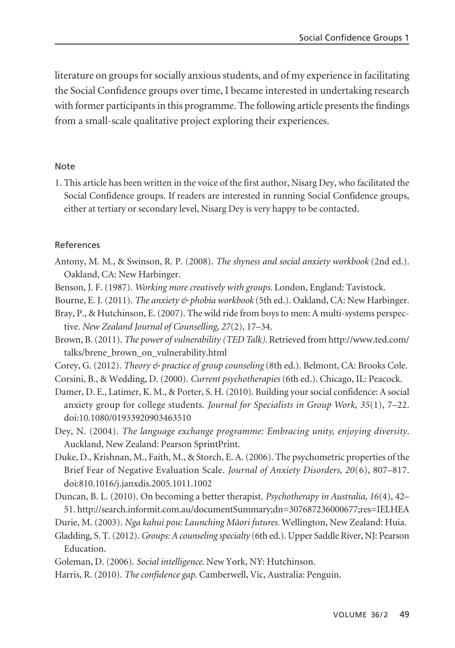literature on groups for socially anxious students, and of my experience in facilitating the Social Confidence groups over time, I became interested in undertaking research with former participants in this programme. The following article presents the findings from a small-scale qualitative project exploring their experiences.

#### Note

1. This article has been written in the voice of the first author, Nisarg Dey, who facilitated the Social Confidence groups. If readers are interested in running Social Confidence groups, either at tertiary or secondary level, Nisarg Dey is very happy to be contacted.

#### References

- Antony, M. M., & Swinson, R. P. (2008). *The shyness and social anxiety workbook* (2nd ed.). Oakland, CA: New Harbinger.
- Benson, J. F. (1987). *Working more creatively with groups*. London, England: Tavistock.
- Bourne, E. J. (2011). *The anxiety & phobia workbook* (5th ed.). Oakland, CA: New Harbinger.
- Bray, P., & Hutchinson, E. (2007). The wild ride from boys to men: A multi-systems perspective. *New Zealand Journal of Counselling, 27*(2), 17–34.

Brown, B. (2011). *The power of vulnerability (TED Talk).* Retrieved from http://www.ted.com/ talks/brene\_brown\_on\_vulnerability.html

Corey, G. (2012). *Theory & practice of group counseling* (8th ed.). Belmont, CA: Brooks Cole.

Corsini, B., & Wedding, D. (2000). *Current psychotherapies* (6th ed.). Chicago, IL: Peacock.

Damer, D. E., Latimer, K. M., & Porter, S. H. (2010). Building your social confidence: A social anxiety group for college students. *Journal for Specialists in Group Work, 35*(1), 7–22. doi:10.1080/01933920903463510

Dey, N. (2004). *The language exchange programme: Embracing unity, enjoying diversity*. Auckland, New Zealand: Pearson SprintPrint.

- Duke, D., Krishnan, M., Faith, M., & Storch, E. A. (2006). The psychometric properties of the Brief Fear of Negative Evaluation Scale. *Journal of Anxiety Disorders, 20*(6), 807–817. doi:810.1016/j.janxdis.2005.1011.1002
- Duncan, B. L. (2010). On becoming a better therapist. *Psychotherapy in Australia, 16*(4), 42– 51. http://search.informit.com.au/documentSummary;dn=307687236000677;res=IELHEA

Durie, M. (2003). *Nga kahui pou: Launching Mäori futures.* Wellington, New Zealand: Huia.

Gladding, S. T. (2012). *Groups: A counseling specialty* (6th ed.). Upper Saddle River, NJ: Pearson Education.

Goleman, D. (2006). *Social intelligence*. New York, NY: Hutchinson.

Harris, R. (2010). *The confidence gap*. Camberwell, Vic, Australia: Penguin.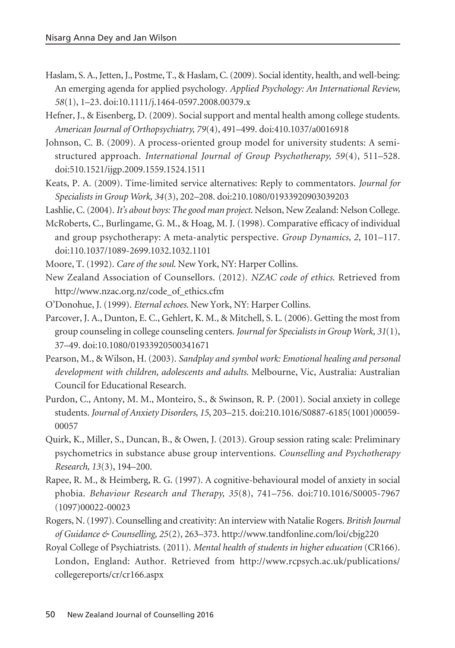- Haslam, S. A., Jetten, J., Postme, T., & Haslam, C. (2009). Social identity, health, and well-being: An emerging agenda for applied psychology. *Applied Psychology: An International Review, 58*(1), 1–23. doi:10.1111/j.1464-0597.2008.00379.x
- Hefner, J., & Eisenberg, D. (2009). Social support and mental health among college students. *American Journal of Orthopsychiatry, 79*(4), 491–499. doi:410.1037/a0016918
- Johnson, C. B. (2009). A process-oriented group model for university students: A semistructured approach. *International Journal of Group Psychotherapy, 59*(4), 511–528. doi:510.1521/ijgp.2009.1559.1524.1511
- Keats, P. A. (2009). Time-limited service alternatives: Reply to commentators. *Journal for Specialists in Group Work, 34*(3), 202–208. doi:210.1080/01933920903039203
- Lashlie, C. (2004). *It's about boys: The good man project*. Nelson, New Zealand: Nelson College.
- McRoberts, C., Burlingame, G. M., & Hoag, M. J. (1998). Comparative efficacy of individual and group psychotherapy: A meta-analytic perspective. *Group Dynamics, 2*, 101–117. doi:110.1037/1089-2699.1032.1032.1101
- Moore, T. (1992). *Care of the soul*. New York, NY: Harper Collins.
- New Zealand Association of Counsellors. (2012). *NZAC code of ethics*. Retrieved from http://www.nzac.org.nz/code\_of\_ethics.cfm
- O'Donohue, J. (1999). *Eternal echoes*. New York, NY: Harper Collins.
- Parcover, J. A., Dunton, E. C., Gehlert, K. M., & Mitchell, S. L. (2006). Getting the most from group counseling in college counseling centers. *Journal for Specialists in Group Work, 31*(1), 37–49. doi:10.1080/01933920500341671
- Pearson, M., & Wilson, H. (2003). *Sandplay and symbol work: Emotional healing and personal development with children, adolescents and adults*. Melbourne, Vic, Australia: Australian Council for Educational Research.
- Purdon, C., Antony, M. M., Monteiro, S., & Swinson, R. P. (2001). Social anxiety in college students. *Journal of Anxiety Disorders, 15*, 203–215. doi:210.1016/S0887-6185(1001)00059- 00057
- Quirk, K., Miller, S., Duncan, B., & Owen, J. (2013). Group session rating scale: Preliminary psychometrics in substance abuse group interventions. *Counselling and Psychotherapy Research, 13*(3), 194–200.
- Rapee, R. M., & Heimberg, R. G. (1997). A cognitive-behavioural model of anxiety in social phobia. *Behaviour Research and Therapy, 35*(8), 741–756. doi:710.1016/S0005-7967 (1097)00022-00023
- Rogers, N. (1997). Counselling and creativity: An interview with Natalie Rogers. *British Journal of Guidance & Counselling, 25*(2), 263–373. http://www.tandfonline.com/loi/cbjg220
- Royal College of Psychiatrists. (2011). *Mental health of students in higher education* (CR166). London, England: Author. Retrieved from http://www.rcpsych.ac.uk/publications/ collegereports/cr/cr166.aspx